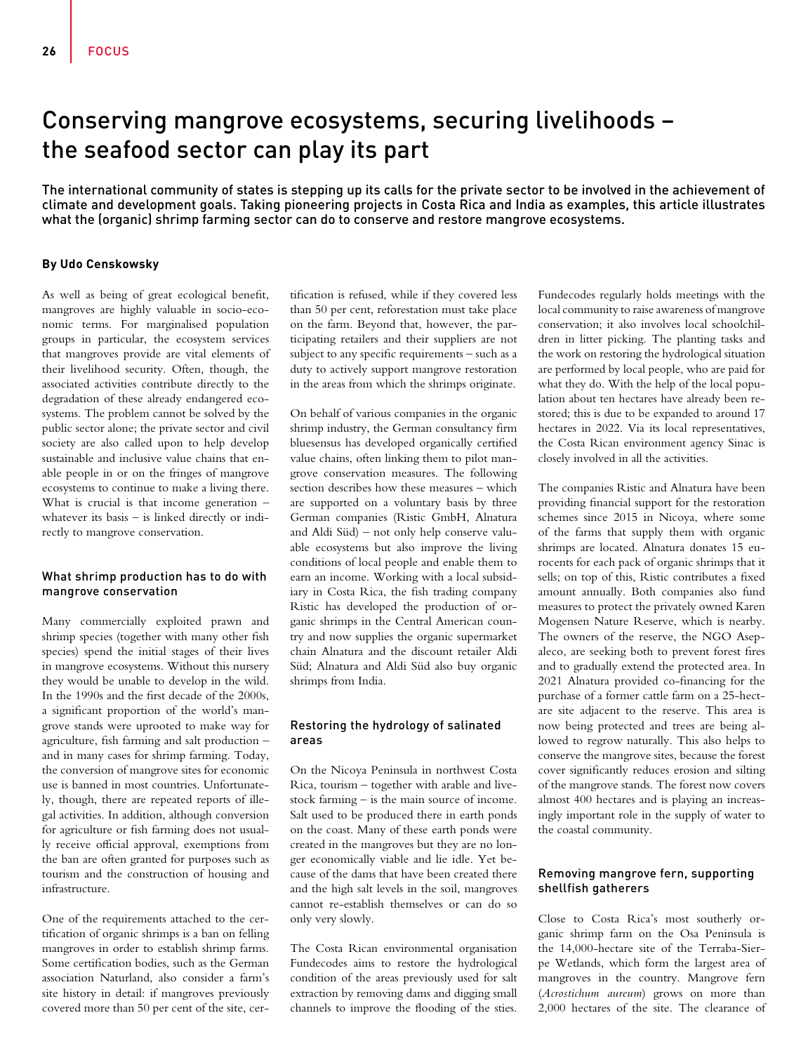# Conserving mangrove ecosystems, securing livelihoods – the seafood sector can play its part

The international community of states is stepping up its calls for the private sector to be involved in the achievement of climate and development goals. Taking pioneering projects in Costa Rica and India as examples, this article illustrates what the (organic) shrimp farming sector can do to conserve and restore mangrove ecosystems.

### **By Udo Censkowsky**

As well as being of great ecological benefit, mangroves are highly valuable in socio-economic terms. For marginalised population groups in particular, the ecosystem services that mangroves provide are vital elements of their livelihood security. Often, though, the associated activities contribute directly to the degradation of these already endangered ecosystems. The problem cannot be solved by the public sector alone; the private sector and civil society are also called upon to help develop sustainable and inclusive value chains that enable people in or on the fringes of mangrove ecosystems to continue to make a living there. What is crucial is that income generation – whatever its basis – is linked directly or indirectly to mangrove conservation.

### What shrimp production has to do with mangrove conservation

Many commercially exploited prawn and shrimp species (together with many other fish species) spend the initial stages of their lives in mangrove ecosystems. Without this nursery they would be unable to develop in the wild. In the 1990s and the first decade of the 2000s, a significant proportion of the world's mangrove stands were uprooted to make way for agriculture, fish farming and salt production – and in many cases for shrimp farming. Today, the conversion of mangrove sites for economic use is banned in most countries. Unfortunately, though, there are repeated reports of illegal activities. In addition, although conversion for agriculture or fish farming does not usually receive official approval, exemptions from the ban are often granted for purposes such as tourism and the construction of housing and infrastructure.

One of the requirements attached to the certification of organic shrimps is a ban on felling mangroves in order to establish shrimp farms. Some certification bodies, such as the German association Naturland, also consider a farm's site history in detail: if mangroves previously covered more than 50 per cent of the site, certification is refused, while if they covered less than 50 per cent, reforestation must take place on the farm. Beyond that, however, the participating retailers and their suppliers are not subject to any specific requirements – such as a duty to actively support mangrove restoration in the areas from which the shrimps originate.

On behalf of various companies in the organic shrimp industry, the German consultancy firm bluesensus has developed organically certified value chains, often linking them to pilot mangrove conservation measures. The following section describes how these measures – which are supported on a voluntary basis by three German companies (Ristic GmbH, Alnatura and Aldi Süd) – not only help conserve valuable ecosystems but also improve the living conditions of local people and enable them to earn an income. Working with a local subsidiary in Costa Rica, the fish trading company Ristic has developed the production of organic shrimps in the Central American country and now supplies the organic supermarket chain Alnatura and the discount retailer Aldi Süd; Alnatura and Aldi Süd also buy organic shrimps from India.

# Restoring the hydrology of salinated areas

On the Nicoya Peninsula in northwest Costa Rica, tourism – together with arable and livestock farming – is the main source of income. Salt used to be produced there in earth ponds on the coast. Many of these earth ponds were created in the mangroves but they are no longer economically viable and lie idle. Yet because of the dams that have been created there and the high salt levels in the soil, mangroves cannot re-establish themselves or can do so only very slowly.

The Costa Rican environmental organisation Fundecodes aims to restore the hydrological condition of the areas previously used for salt extraction by removing dams and digging small channels to improve the flooding of the sties.

Fundecodes regularly holds meetings with the local community to raise awareness of mangrove conservation; it also involves local schoolchildren in litter picking. The planting tasks and the work on restoring the hydrological situation are performed by local people, who are paid for what they do. With the help of the local population about ten hectares have already been restored; this is due to be expanded to around 17 hectares in 2022. Via its local representatives, the Costa Rican environment agency Sinac is closely involved in all the activities.

The companies Ristic and Alnatura have been providing financial support for the restoration schemes since 2015 in Nicoya, where some of the farms that supply them with organic shrimps are located. Alnatura donates 15 eurocents for each pack of organic shrimps that it sells; on top of this, Ristic contributes a fixed amount annually. Both companies also fund measures to protect the privately owned Karen Mogensen Nature Reserve, which is nearby. The owners of the reserve, the NGO Asepaleco, are seeking both to prevent forest fires and to gradually extend the protected area. In 2021 Alnatura provided co-financing for the purchase of a former cattle farm on a 25-hectare site adjacent to the reserve. This area is now being protected and trees are being allowed to regrow naturally. This also helps to conserve the mangrove sites, because the forest cover significantly reduces erosion and silting of the mangrove stands. The forest now covers almost 400 hectares and is playing an increasingly important role in the supply of water to the coastal community.

# Removing mangrove fern, supporting shellfish gatherers

Close to Costa Rica's most southerly organic shrimp farm on the Osa Peninsula is the 14,000-hectare site of the Terraba-Sierpe Wetlands, which form the largest area of mangroves in the country. Mangrove fern (*Acrostichum aureum*) grows on more than 2,000 hectares of the site. The clearance of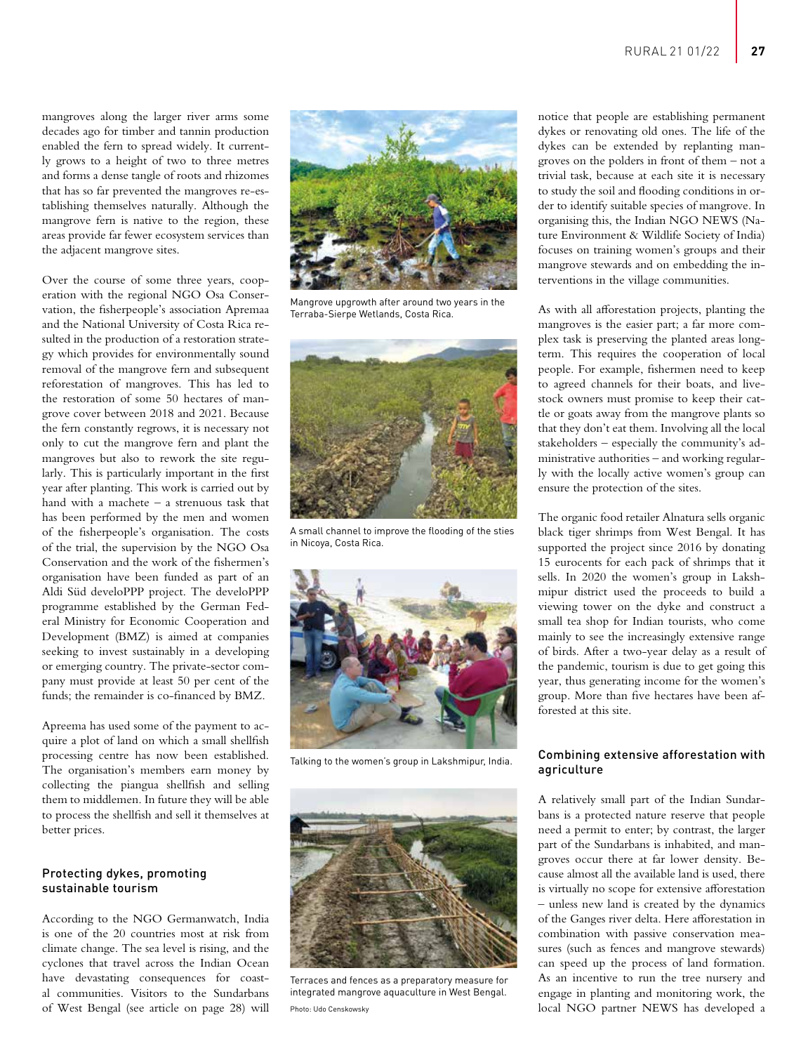mangroves along the larger river arms some decades ago for timber and tannin production enabled the fern to spread widely. It currently grows to a height of two to three metres and forms a dense tangle of roots and rhizomes that has so far prevented the mangroves re-establishing themselves naturally. Although the mangrove fern is native to the region, these areas provide far fewer ecosystem services than the adjacent mangrove sites.

Over the course of some three years, cooperation with the regional NGO Osa Conservation, the fisherpeople's association Apremaa and the National University of Costa Rica resulted in the production of a restoration strategy which provides for environmentally sound removal of the mangrove fern and subsequent reforestation of mangroves. This has led to the restoration of some 50 hectares of mangrove cover between 2018 and 2021. Because the fern constantly regrows, it is necessary not only to cut the mangrove fern and plant the mangroves but also to rework the site regularly. This is particularly important in the first year after planting. This work is carried out by hand with a machete – a strenuous task that has been performed by the men and women of the fisherpeople's organisation. The costs of the trial, the supervision by the NGO Osa Conservation and the work of the fishermen's organisation have been funded as part of an Aldi Süd develoPPP project. The develoPPP programme established by the German Federal Ministry for Economic Cooperation and Development (BMZ) is aimed at companies seeking to invest sustainably in a developing or emerging country. The private-sector company must provide at least 50 per cent of the funds; the remainder is co-financed by BMZ.

Apreema has used some of the payment to acquire a plot of land on which a small shellfish processing centre has now been established. The organisation's members earn money by collecting the piangua shellfish and selling them to middlemen. In future they will be able to process the shellfish and sell it themselves at better prices.

#### Protecting dykes, promoting sustainable tourism

According to the NGO Germanwatch, India is one of the 20 countries most at risk from climate change. The sea level is rising, and the cyclones that travel across the Indian Ocean have devastating consequences for coastal communities. Visitors to the Sundarbans of West Bengal (see article on page 28) will



Mangrove upgrowth after around two years in the Terraba-Sierpe Wetlands, Costa Rica.



A small channel to improve the flooding of the sties in Nicoya, Costa Rica.



Talking to the women's group in Lakshmipur, India.



Terraces and fences as a preparatory measure for integrated mangrove aquaculture in West Bengal.

notice that people are establishing permanent dykes or renovating old ones. The life of the dykes can be extended by replanting mangroves on the polders in front of them – not a trivial task, because at each site it is necessary to study the soil and flooding conditions in order to identify suitable species of mangrove. In organising this, the Indian NGO NEWS (Nature Environment & Wildlife Society of India) focuses on training women's groups and their mangrove stewards and on embedding the interventions in the village communities.

As with all afforestation projects, planting the mangroves is the easier part; a far more complex task is preserving the planted areas longterm. This requires the cooperation of local people. For example, fishermen need to keep to agreed channels for their boats, and livestock owners must promise to keep their cattle or goats away from the mangrove plants so that they don't eat them. Involving all the local stakeholders – especially the community's administrative authorities – and working regularly with the locally active women's group can ensure the protection of the sites.

The organic food retailer Alnatura sells organic black tiger shrimps from West Bengal. It has supported the project since 2016 by donating 15 eurocents for each pack of shrimps that it sells. In 2020 the women's group in Lakshmipur district used the proceeds to build a viewing tower on the dyke and construct a small tea shop for Indian tourists, who come mainly to see the increasingly extensive range of birds. After a two-year delay as a result of the pandemic, tourism is due to get going this year, thus generating income for the women's group. More than five hectares have been afforested at this site.

### Combining extensive afforestation with agriculture

A relatively small part of the Indian Sundarbans is a protected nature reserve that people need a permit to enter; by contrast, the larger part of the Sundarbans is inhabited, and mangroves occur there at far lower density. Because almost all the available land is used, there is virtually no scope for extensive afforestation – unless new land is created by the dynamics of the Ganges river delta. Here afforestation in combination with passive conservation measures (such as fences and mangrove stewards) can speed up the process of land formation. As an incentive to run the tree nursery and engage in planting and monitoring work, the local NGO partner NEWS has developed a